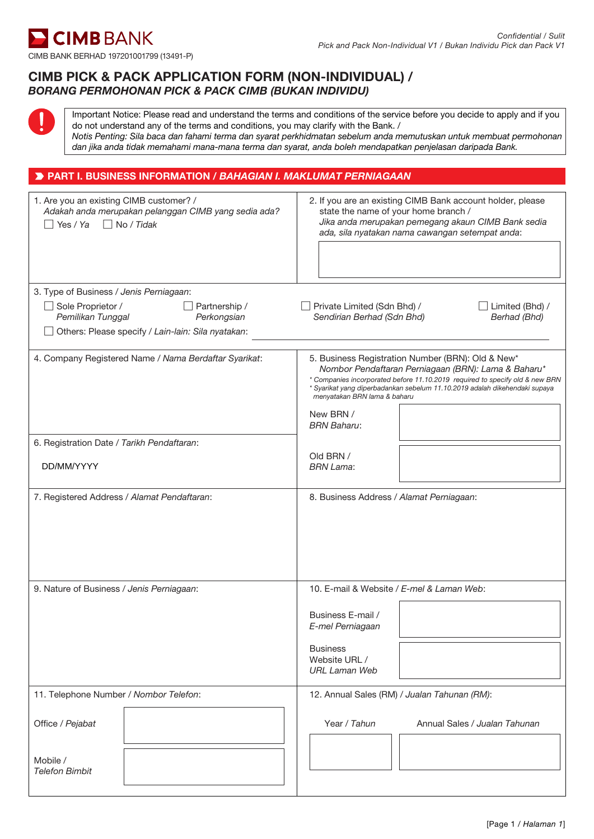

# CIMB PICK & PACK APPLICATION FORM (NON-INDIVIDUAL) / *BORANG PERMOHONAN PICK & PACK CIMB (BUKAN INDIVIDU)*

Important Notice: Please read and understand the terms and conditions of the service before you decide to apply and if you do not understand any of the terms and conditions, you may clarify with the Bank. / *Notis Penting: Sila baca dan fahami terma dan syarat perkhidmatan sebelum anda memutuskan untuk membuat permohonan dan jika anda tidak memahami mana-mana terma dan syarat, anda boleh mendapatkan penjelasan daripada Bank.*

# PART I. BUSINESS INFORMATION / *BAHAGIAN I. MAKLUMAT PERNIAGAAN*

| 1. Are you an existing CIMB customer? /<br>Adakah anda merupakan pelanggan CIMB yang sedia ada?<br>$\Box$ No / Tidak<br>Yes/Ya | 2. If you are an existing CIMB Bank account holder, please<br>state the name of your home branch /<br>Jika anda merupakan pemegang akaun CIMB Bank sedia<br>ada, sila nyatakan nama cawangan setempat anda:                                                                                                                               |
|--------------------------------------------------------------------------------------------------------------------------------|-------------------------------------------------------------------------------------------------------------------------------------------------------------------------------------------------------------------------------------------------------------------------------------------------------------------------------------------|
| 3. Type of Business / Jenis Perniagaan:<br>Sole Proprietor /<br>$\Box$ Partnership /<br>Pemilikan Tunggal<br>Perkongsian       | Private Limited (Sdn Bhd) /<br>$\Box$ Limited (Bhd) /<br>Sendirian Berhad (Sdn Bhd)<br>Berhad (Bhd)                                                                                                                                                                                                                                       |
| Others: Please specify / Lain-lain: Sila nyatakan:                                                                             |                                                                                                                                                                                                                                                                                                                                           |
| 4. Company Registered Name / Nama Berdaftar Syarikat:                                                                          | 5. Business Registration Number (BRN): Old & New*<br>Nombor Pendaftaran Perniagaan (BRN): Lama & Baharu*<br>* Companies incorporated before 11.10.2019 required to specify old & new BRN<br>* Syarikat yang diperbadankan sebelum 11.10.2019 adalah dikehendaki supaya<br>menyatakan BRN lama & baharu<br>New BRN /<br><b>BRN Baharu:</b> |
| 6. Registration Date / Tarikh Pendaftaran:                                                                                     |                                                                                                                                                                                                                                                                                                                                           |
| DD/MM/YYYY                                                                                                                     | Old BRN /<br><b>BRN Lama:</b>                                                                                                                                                                                                                                                                                                             |
| 7. Registered Address / Alamat Pendaftaran:                                                                                    | 8. Business Address / Alamat Perniagaan:                                                                                                                                                                                                                                                                                                  |
| 9. Nature of Business / Jenis Perniagaan:                                                                                      | 10. E-mail & Website / E-mel & Laman Web:                                                                                                                                                                                                                                                                                                 |
|                                                                                                                                | Business E-mail /<br>E-mel Perniagaan                                                                                                                                                                                                                                                                                                     |
|                                                                                                                                | <b>Business</b><br>Website URL /<br><b>URL Laman Web</b>                                                                                                                                                                                                                                                                                  |
| 11. Telephone Number / Nombor Telefon:                                                                                         | 12. Annual Sales (RM) / Jualan Tahunan (RM):                                                                                                                                                                                                                                                                                              |
| Office / Pejabat                                                                                                               | Year / Tahun<br>Annual Sales / Jualan Tahunan                                                                                                                                                                                                                                                                                             |
| Mobile /<br><b>Telefon Bimbit</b>                                                                                              |                                                                                                                                                                                                                                                                                                                                           |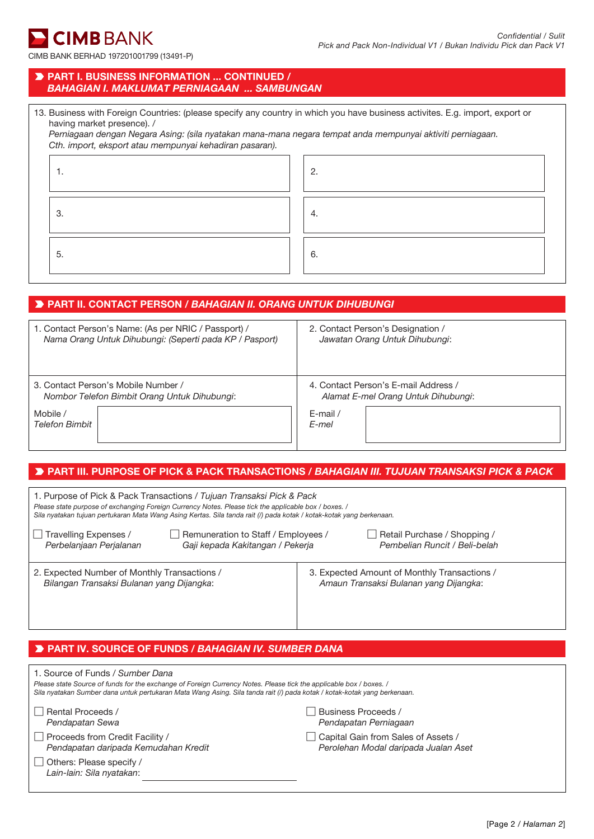CIMB BANK BERHAD 197201001799 (13491-P)

### PART I. BUSINESS INFORMATION ... CONTINUED / *BAHAGIAN I. MAKLUMAT PERNIAGAAN ... SAMBUNGAN*

| 13. Business with Foreign Countries: (please specify any country in which you have business activites. E.g. import, export or |  |  |  |
|-------------------------------------------------------------------------------------------------------------------------------|--|--|--|
| having market presence). /                                                                                                    |  |  |  |

*Perniagaan dengan Negara Asing: (sila nyatakan mana-mana negara tempat anda mempunyai aktiviti perniagaan. Cth. import, eksport atau mempunyai kehadiran pasaran).*

| . . | റ<br>Ζ. |
|-----|---------|
| 3   | 4.      |
| 5.  | 6.      |

# PART II. CONTACT PERSON / *BAHAGIAN II. ORANG UNTUK DIHUBUNGI*

| 1. Contact Person's Name: (As per NRIC / Passport) /    | 2. Contact Person's Designation /    |
|---------------------------------------------------------|--------------------------------------|
| Nama Orang Untuk Dihubungi: (Seperti pada KP / Pasport) | Jawatan Orang Untuk Dihubungi:       |
| 3. Contact Person's Mobile Number /                     | 4. Contact Person's E-mail Address / |
| Nombor Telefon Bimbit Orang Untuk Dihubungi:            | Alamat E-mel Orang Untuk Dihubungi:  |
| Mobile /                                                | $E$ -mail /                          |
| <b>Telefon Bimbit</b>                                   | E-mel                                |

# PART III. PURPOSE OF PICK & PACK TRANSACTIONS / *BAHAGIAN III. TUJUAN TRANSAKSI PICK & PACK*

| 1. Purpose of Pick & Pack Transactions / Tujuan Transaksi Pick & Pack<br>Please state purpose of exchanging Foreign Currency Notes. Please tick the applicable box / boxes. /<br>Sila nyatakan tujuan pertukaran Mata Wang Asing Kertas. Sila tanda rait (/) pada kotak / kotak-kotak yang berkenaan. |                                                                                        |
|-------------------------------------------------------------------------------------------------------------------------------------------------------------------------------------------------------------------------------------------------------------------------------------------------------|----------------------------------------------------------------------------------------|
| $\Box$ Travelling Expenses /<br>  Remuneration to Staff / Employees /<br>Perbelanjaan Perjalanan<br>Gaji kepada Kakitangan / Pekerja                                                                                                                                                                  | Retail Purchase / Shopping /<br>Pembelian Runcit / Beli-belah                          |
| 2. Expected Number of Monthly Transactions /<br>Bilangan Transaksi Bulanan yang Dijangka:                                                                                                                                                                                                             | 3. Expected Amount of Monthly Transactions /<br>Amaun Transaksi Bulanan yang Dijangka: |

# PART IV. SOURCE OF FUNDS / *BAHAGIAN IV. SUMBER DANA*

| 1. Source of Funds / Sumber Dana                                                                                         |                                              |
|--------------------------------------------------------------------------------------------------------------------------|----------------------------------------------|
| Please state Source of funds for the exchange of Foreign Currency Notes. Please tick the applicable box / boxes. /       |                                              |
| Sila nyatakan Sumber dana untuk pertukaran Mata Wang Asing. Sila tanda rait (/) pada kotak / kotak-kotak yang berkenaan. |                                              |
| Rental Proceeds /<br>Pendapatan Sewa                                                                                     | Business Proceeds /<br>Pendapatan Perniagaan |
| $\Box$ Proceeds from Credit Facility /                                                                                   | Capital Gain from Sales of Assets /          |
| Pendapatan daripada Kemudahan Kredit                                                                                     | Perolehan Modal daripada Jualan Aset         |
| Others: Please specify /<br>Lain-lain: Sila nyatakan:                                                                    |                                              |
|                                                                                                                          |                                              |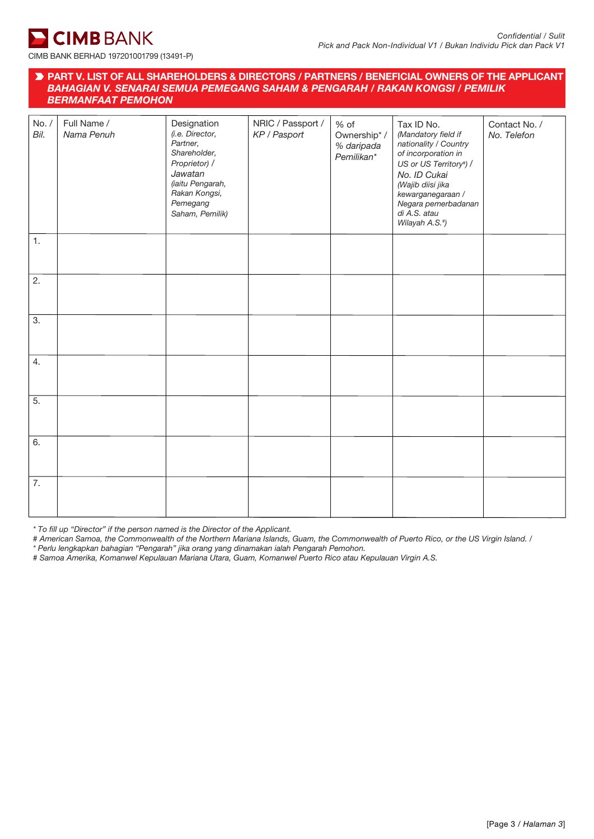

### PART V. LIST OF ALL SHAREHOLDERS & DIRECTORS / PARTNERS / BENEFICIAL OWNERS OF THE APPLICANT / *BAHAGIAN V. SENARAI SEMUA PEMEGANG SAHAM & PENGARAH / RAKAN KONGSI / PEMILIK BERMANFAAT PEMOHON*

| No. /<br>Bil.    | Full Name /<br>Nama Penuh | Designation<br>(i.e. Director,<br>Partner,<br>Shareholder,<br>Proprietor) /<br>Jawatan<br>(iaitu Pengarah,<br>Rakan Kongsi,<br>Pemegang<br>Saham, Pemilik) | NRIC / Passport /<br>KP / Pasport | % of<br>Ownership* /<br>% daripada<br>Pemilikan* | Tax ID No.<br>(Mandatory field if<br>nationality / Country<br>of incorporation in<br>US or US Territory#) /<br>No. ID Cukai<br>(Wajib diisi jika<br>kewarganegaraan /<br>Negara pemerbadanan<br>di A.S. atau<br>Wilayah A.S.*) | Contact No. /<br>No. Telefon |
|------------------|---------------------------|------------------------------------------------------------------------------------------------------------------------------------------------------------|-----------------------------------|--------------------------------------------------|--------------------------------------------------------------------------------------------------------------------------------------------------------------------------------------------------------------------------------|------------------------------|
| 1.               |                           |                                                                                                                                                            |                                   |                                                  |                                                                                                                                                                                                                                |                              |
| 2.               |                           |                                                                                                                                                            |                                   |                                                  |                                                                                                                                                                                                                                |                              |
| $\overline{3}$ . |                           |                                                                                                                                                            |                                   |                                                  |                                                                                                                                                                                                                                |                              |
| 4.               |                           |                                                                                                                                                            |                                   |                                                  |                                                                                                                                                                                                                                |                              |
| $\overline{5}$ . |                           |                                                                                                                                                            |                                   |                                                  |                                                                                                                                                                                                                                |                              |
| 6.               |                           |                                                                                                                                                            |                                   |                                                  |                                                                                                                                                                                                                                |                              |
| 7.               |                           |                                                                                                                                                            |                                   |                                                  |                                                                                                                                                                                                                                |                              |

*\* To fill up "Director" if the person named is the Director of the Applicant.*

*# American Samoa, the Commonwealth of the Northern Mariana Islands, Guam, the Commonwealth of Puerto Rico, or the US Virgin Island. /*

*\* Perlu lengkapkan bahagian "Pengarah" jika orang yang dinamakan ialah Pengarah Pemohon.*

*# Samoa Amerika, Komanwel Kepulauan Mariana Utara, Guam, Komanwel Puerto Rico atau Kepulauan Virgin A.S.*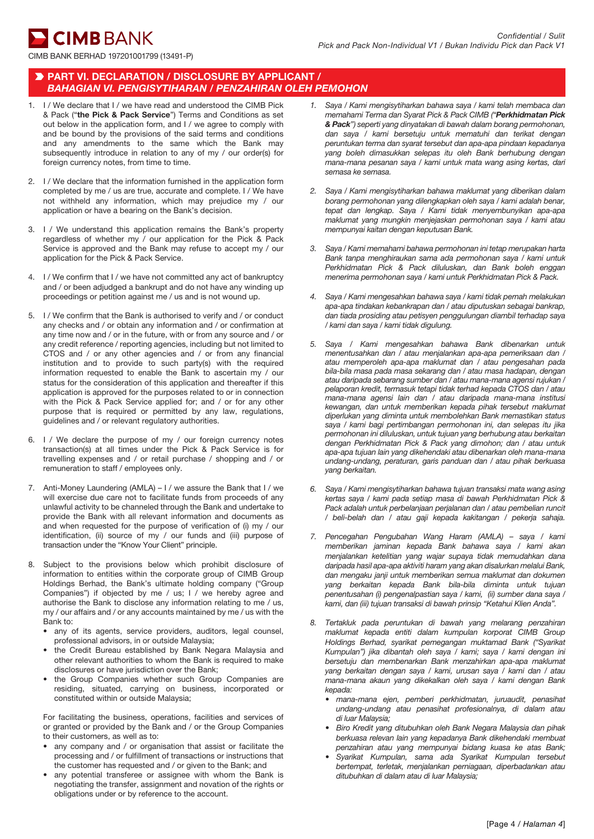**CIMB** BANK

## PART VI. DECLARATION / DISCLOSURE BY APPLICANT / *BAHAGIAN VI. PENGISYTIHARAN / PENZAHIRAN OLEH PEMOHON*

- 1. I / We declare that I / we have read and understood the CIMB Pick & Pack ("the Pick & Pack Service") Terms and Conditions as set out below in the application form, and I / we agree to comply with and be bound by the provisions of the said terms and conditions and any amendments to the same which the Bank may subsequently introduce in relation to any of my / our order(s) for foreign currency notes, from time to time.
- 2. I / We declare that the information furnished in the application form completed by me / us are true, accurate and complete. I / We have not withheld any information, which may prejudice my / our application or have a bearing on the Bank's decision.
- 3. I / We understand this application remains the Bank's property regardless of whether my / our application for the Pick & Pack Service is approved and the Bank may refuse to accept my / our application for the Pick & Pack Service.
- 4. I / We confirm that I / we have not committed any act of bankruptcy and / or been adjudged a bankrupt and do not have any winding up proceedings or petition against me / us and is not wound up.
- 5. I / We confirm that the Bank is authorised to verify and / or conduct any checks and / or obtain any information and / or confirmation at any time now and / or in the future, with or from any source and / or any credit reference / reporting agencies, including but not limited to CTOS and / or any other agencies and / or from any financial institution and to provide to such party(s) with the required information requested to enable the Bank to ascertain my / our status for the consideration of this application and thereafter if this application is approved for the purposes related to or in connection with the Pick & Pack Service applied for; and / or for any other purpose that is required or permitted by any law, regulations, guidelines and / or relevant regulatory authorities.
- 6. I / We declare the purpose of my / our foreign currency notes transaction(s) at all times under the Pick & Pack Service is for travelling expenses and / or retail purchase / shopping and / or remuneration to staff / employees only.
- 7. Anti-Money Laundering (AMLA) I / we assure the Bank that I / we will exercise due care not to facilitate funds from proceeds of any unlawful activity to be channeled through the Bank and undertake to provide the Bank with all relevant information and documents as and when requested for the purpose of verification of (i) my / our identification, (ii) source of my / our funds and (iii) purpose of transaction under the "Know Your Client" principle.
- 8. Subject to the provisions below which prohibit disclosure of information to entities within the corporate group of CIMB Group Holdings Berhad, the Bank's ultimate holding company ("Group Companies") if objected by me / us; I / we hereby agree and authorise the Bank to disclose any information relating to me / us, my / our affairs and / or any accounts maintained by me / us with the Bank to:
	- any of its agents, service providers, auditors, legal counsel, professional advisors, in or outside Malaysia;
	- the Credit Bureau established by Bank Negara Malaysia and other relevant authorities to whom the Bank is required to make disclosures or have jurisdiction over the Bank;
	- the Group Companies whether such Group Companies are residing, situated, carrying on business, incorporated or constituted within or outside Malaysia;

For facilitating the business, operations, facilities and services of or granted or provided by the Bank and / or the Group Companies to their customers, as well as to:

- any company and / or organisation that assist or facilitate the processing and / or fulfillment of transactions or instructions that the customer has requested and / or given to the Bank; and
- any potential transferee or assignee with whom the Bank is negotiating the transfer, assignment and novation of the rights or obligations under or by reference to the account.
- *1. Saya / Kami mengisytiharkan bahawa saya / kami telah membaca dan memahami Terma dan Syarat Pick & Pack CIMB ("Perkhidmatan Pick & Pack") seperti yang dinyatakan di bawah dalam borang permohonan, dan saya / kami bersetuju untuk mematuhi dan terikat dengan peruntukan terma dan syarat tersebut dan apa-apa pindaan kepadanya yang boleh dimasukkan selepas itu oleh Bank berhubung dengan mana-mana pesanan saya / kami untuk mata wang asing kertas, dari semasa ke semasa.*
- *2. Saya / Kami mengisytiharkan bahawa maklumat yang diberikan dalam borang permohonan yang dilengkapkan oleh saya / kami adalah benar, tepat dan lengkap. Saya / Kami tidak menyembunyikan apa-apa maklumat yang mungkin menjejaskan permohonan saya / kami atau mempunyai kaitan dengan keputusan Bank.*
- *3. Saya / Kami memahami bahawa permohonan ini tetap merupakan harta Bank tanpa menghiraukan sama ada permohonan saya / kami untuk Perkhidmatan Pick & Pack diluluskan, dan Bank boleh enggan menerima permohonan saya / kami untuk Perkhidmatan Pick & Pack.*
- *4. Saya / Kami mengesahkan bahawa saya / kami tidak pernah melakukan apa-apa tindakan kebankrapan dan / atau diputuskan sebagai bankrap, dan tiada prosiding atau petisyen penggulungan diambil terhadap saya / kami dan saya / kami tidak digulung.*
- *5. Saya / Kami mengesahkan bahawa Bank dibenarkan untuk menentusahkan dan / atau menjalankan apa-apa pemeriksaan dan / atau memperoleh apa-apa maklumat dan / atau pengesahan pada bila-bila masa pada masa sekarang dan / atau masa hadapan, dengan atau daripada sebarang sumber dan / atau mana-mana agensi rujukan / pelaporan kredit, termasuk tetapi tidak terhad kepada CTOS dan / atau mana-mana agensi lain dan / atau daripada mana-mana institusi kewangan, dan untuk memberikan kepada pihak tersebut maklumat diperlukan yang diminta untuk membolehkan Bank memastikan status saya / kami bagi pertimbangan permohonan ini, dan selepas itu jika permohonan ini diluluskan, untuk tujuan yang berhubung atau berkaitan dengan Perkhidmatan Pick & Pack yang dimohon; dan / atau untuk apa-apa tujuan lain yang dikehendaki atau dibenarkan oleh mana-mana undang-undang, peraturan, garis panduan dan / atau pihak berkuasa yang berkaitan.*
- *6. Saya / Kami mengisytiharkan bahawa tujuan transaksi mata wang asing kertas saya / kami pada setiap masa di bawah Perkhidmatan Pick & Pack adalah untuk perbelanjaan perjalanan dan / atau pembelian runcit / beli-belah dan / atau gaji kepada kakitangan / pekerja sahaja.*
- *7. Pencegahan Pengubahan Wang Haram (AMLA) saya / kami memberikan jaminan kepada Bank bahawa saya / kami akan menjalankan ketelitian yang wajar supaya tidak memudahkan dana daripada hasil apa-apa aktiviti haram yang akan disalurkan melalui Bank, dan mengaku janji untuk memberikan semua maklumat dan dokumen yang berkaitan kepada Bank bila-bila diminta untuk tujuan penentusahan (i) pengenalpastian saya / kami, (ii) sumber dana saya / kami, dan (iii) tujuan transaksi di bawah prinsip "Ketahui Klien Anda".*
- *8. Tertakluk pada peruntukan di bawah yang melarang penzahiran maklumat kepada entiti dalam kumpulan korporat CIMB Group Holdings Berhad, syarikat pemegangan muktamad Bank ("Syarikat Kumpulan") jika dibantah oleh saya / kami; saya / kami dengan ini bersetuju dan membenarkan Bank menzahirkan apa-apa maklumat yang berkaitan dengan saya / kami, urusan saya / kami dan / atau mana-mana akaun yang dikekalkan oleh saya / kami dengan Bank kepada:*
	- *mana-mana ejen, pemberi perkhidmatan, juruaudit, penasihat undang-undang atau penasihat profesionalnya, di dalam atau di luar Malaysia;*
	- *Biro Kredit yang ditubuhkan oleh Bank Negara Malaysia dan pihak berkuasa relevan lain yang kepadanya Bank dikehendaki membuat penzahiran atau yang mempunyai bidang kuasa ke atas Bank;*
	- *Syarikat Kumpulan, sama ada Syarikat Kumpulan tersebut bertempat, terletak, menjalankan perniagaan, diperbadankan atau ditubuhkan di dalam atau di luar Malaysia;*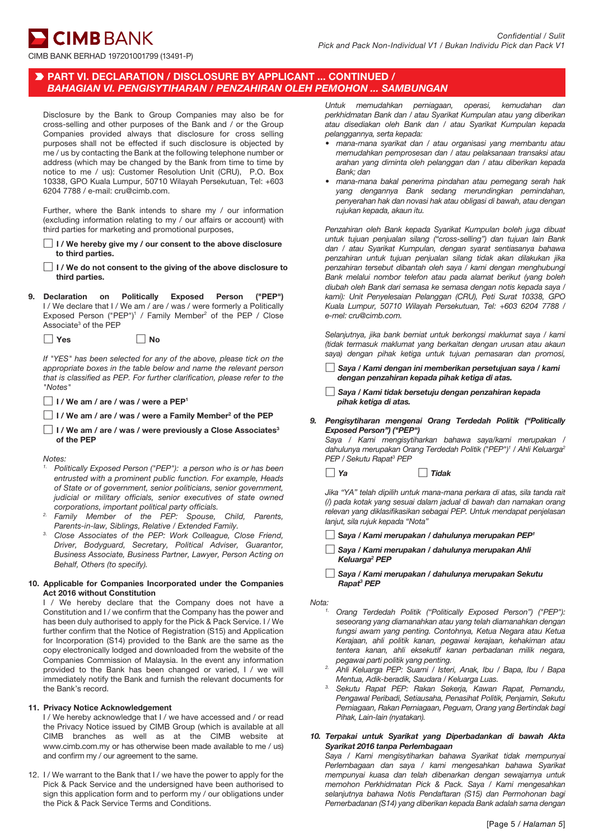CIMB BANK BERHAD 197201001799 (13491-P)

# PART VI. DECLARATION / DISCLOSURE BY APPLICANT ... CONTINUED / *BAHAGIAN VI. PENGISYTIHARAN / PENZAHIRAN OLEH PEMOHON ... SAMBUNGAN*

Disclosure by the Bank to Group Companies may also be for cross-selling and other purposes of the Bank and / or the Group Companies provided always that disclosure for cross selling purposes shall not be effected if such disclosure is objected by me / us by contacting the Bank at the following telephone number or address (which may be changed by the Bank from time to time by notice to me / us): Customer Resolution Unit (CRU), P.O. Box 10338, GPO Kuala Lumpur, 50710 Wilayah Persekutuan, Tel: +603 6204 7788 / e-mail: cru@cimb.com.

Further, where the Bank intends to share my / our information (excluding information relating to my / our affairs or account) with third parties for marketing and promotional purposes,

- $\Box$  I / We hereby give my / our consent to the above disclosure to third parties.
- $\Box$  I / We do not consent to the giving of the above disclosure to third parties.
- 9. Declaration on Politically Exposed Person ("PEP") I / We declare that I / We am / are / was / were formerly a Politically Exposed Person ("PEP")<sup>1</sup> / Family Member<sup>2</sup> of the PEP / Close Associate<sup>3</sup> of the PEP
	- $\Box$  Yes  $\Box$  No

*If "YES" has been selected for any of the above, please tick on the appropriate boxes in the table below and name the relevant person that is classified as PEP. For further clarification, please refer to the "Notes"*

 $\Box$  I / We am / are / was / were a PEP<sup>1</sup>

 $\Box$  I / We am / are / was / were a Family Member<sup>2</sup> of the PEP

 $\Box$  I / We am / are / was / were previously a Close Associates<sup>3</sup> of the PEP

*Notes:*

- *1. Politically Exposed Person ("PEP"): a person who is or has been entrusted with a prominent public function. For example, Heads of State or of government, senior politicians, senior government, judicial or military officials, senior executives of state owned corporations, important political party officials.*
- *2. Family Member of the PEP: Spouse, Child, Parents,*
- *Parents-in-law, Siblings, Relative / Extended Family. Close Associates of the PEP: Work Colleague, Close Friend, Driver, Bodyguard, Secretary, Political Adviser, Guarantor, Business Associate, Business Partner, Lawyer, Person Acting on Behalf, Others (to specify).*

#### 10. Applicable for Companies Incorporated under the Companies Act 2016 without Constitution

I / We hereby declare that the Company does not have a Constitution and I / we confirm that the Company has the power and has been duly authorised to apply for the Pick & Pack Service. I / We further confirm that the Notice of Registration (S15) and Application for Incorporation (S14) provided to the Bank are the same as the copy electronically lodged and downloaded from the website of the Companies Commission of Malaysia. In the event any information provided to the Bank has been changed or varied, I / we will immediately notify the Bank and furnish the relevant documents for the Bank's record.

#### 11. Privacy Notice Acknowledgement

I / We hereby acknowledge that I / we have accessed and / or read the Privacy Notice issued by CIMB Group (which is available at all CIMB branches as well as at the CIMB website at www.cimb.com.my or has otherwise been made available to me / us) and confirm my / our agreement to the same.

12. I / We warrant to the Bank that I / we have the power to apply for the Pick & Pack Service and the undersigned have been authorised to sign this application form and to perform my / our obligations under the Pick & Pack Service Terms and Conditions.

*Untuk memudahkan perniagaan, operasi, kemudahan dan perkhidmatan Bank dan / atau Syarikat Kumpulan atau yang diberikan atau disediakan oleh Bank dan / atau Syarikat Kumpulan kepada pelanggannya, serta kepada:*

- *mana-mana syarikat dan / atau organisasi yang membantu atau memudahkan pemprosesan dan / atau pelaksanaan transaksi atau arahan yang diminta oleh pelanggan dan / atau diberikan kepada Bank; dan*
- *mana-mana bakal penerima pindahan atau pemegang serah hak yang dengannya Bank sedang merundingkan pemindahan, penyerahan hak dan novasi hak atau obligasi di bawah, atau dengan rujukan kepada, akaun itu.*

*Penzahiran oleh Bank kepada Syarikat Kumpulan boleh juga dibuat untuk tujuan penjualan silang ("cross-selling") dan tujuan lain Bank dan / atau Syarikat Kumpulan, dengan syarat sentiasanya bahawa penzahiran untuk tujuan penjualan silang tidak akan dilakukan jika penzahiran tersebut dibantah oleh saya / kami dengan menghubungi Bank melalui nombor telefon atau pada alamat berikut (yang boleh diubah oleh Bank dari semasa ke semasa dengan notis kepada saya / kami): Unit Penyelesaian Pelanggan (CRU), Peti Surat 10338, GPO Kuala Lumpur, 50710 Wilayah Persekutuan, Tel: +603 6204 7788 / e-mel: cru@cimb.com.*

*Selanjutnya, jika bank berniat untuk berkongsi maklumat saya / kami (tidak termasuk maklumat yang berkaitan dengan urusan atau akaun saya) dengan pihak ketiga untuk tujuan pemasaran dan promosi,*

 *Saya / Kami dengan ini memberikan persetujuan saya / kami dengan penzahiran kepada pihak ketiga di atas.*

- *Saya / Kami tidak bersetuju dengan penzahiran kepada pihak ketiga di atas.*
- *9. Pengisytiharan mengenai Orang Terdedah Politik ("Politically Exposed Person") ("PEP")*

 *Saya / Kami mengisytiharkan bahawa saya/kami merupakan /*  dahulunya merupakan Orang Terdedah Politik ("PEP")<sup>1</sup> / Ahli Keluarga<sup>2</sup> *PEP / Sekutu Rapat3 PEP*

*Ya Tidak*

*Jika "YA" telah dipilih untuk mana-mana perkara di atas, sila tanda rait (/) pada kotak yang sesuai dalam jadual di bawah dan namakan orang relevan yang diklasifikasikan sebagai PEP. Untuk mendapat penjelasan lanjut, sila rujuk kepada "Nota"*

- <sup>S</sup>*aya / Kami merupakan / dahulunya merupakan PEP1*
- *Saya / Kami merupakan / dahulunya merupakan Ahli Keluarga2 PEP*

 *Saya / Kami merupakan / dahulunya merupakan Sekutu Rapat3 PEP*

- *Nota:1. Orang Terdedah Politik ("Politically Exposed Person") ("PEP"): seseorang yang diamanahkan atau yang telah diamanahkan dengan fungsi awam yang penting. Contohnya, Ketua Negara atau Ketua Kerajaan, ahli politik kanan, pegawai kerajaan, kehakiman atau tentera kanan, ahli eksekutif kanan perbadanan milik negara, pegawai parti politik yang penting.*
	- *2. Ahli Keluarga PEP: Suami / Isteri, Anak, Ibu / Bapa, Ibu / Bapa*
	- *Mentua, Adik-beradik, Saudara / Keluarga Luas. 3. Sekutu Rapat PEP: Rakan Sekerja, Kawan Rapat, Pemandu, Pengawal Peribadi, Setiausaha, Penasihat Politik, Penjamin, Sekutu Perniagaan, Rakan Perniagaan, Peguam, Orang yang Bertindak bagi Pihak, Lain-lain (nyatakan).*
- *10. Terpakai untuk Syarikat yang Diperbadankan di bawah Akta Syarikat 2016 tanpa Perlembagaan*

*Saya / Kami mengisytiharkan bahawa Syarikat tidak mempunyai Perlembagaan dan saya / kami mengesahkan bahawa Syarikat mempunyai kuasa dan telah dibenarkan dengan sewajarnya untuk memohon Perkhidmatan Pick & Pack. Saya / Kami mengesahkan selanjutnya bahawa Notis Pendaftaran (S15) dan Permohonan bagi Pemerbadanan (S14) yang diberikan kepada Bank adalah sama dengan*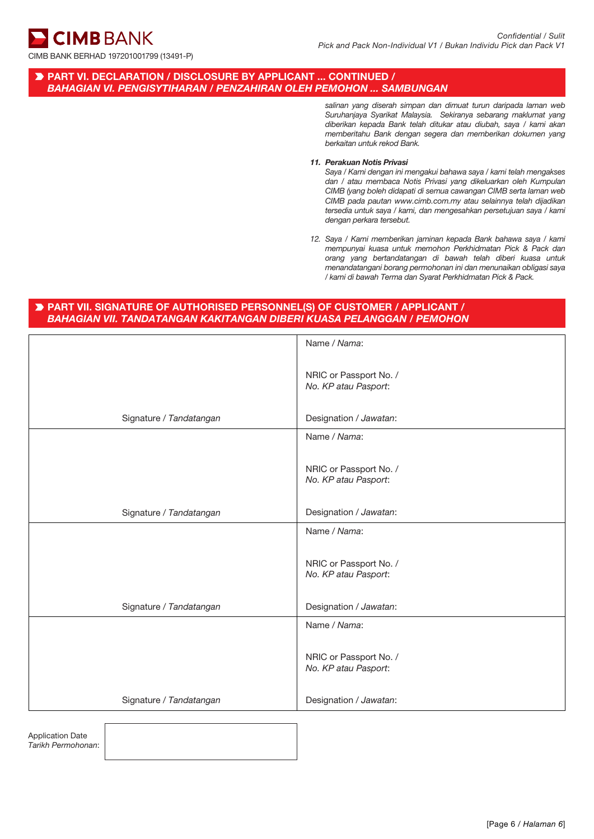**CIMB BANK** 

# PART VI. DECLARATION / DISCLOSURE BY APPLICANT ... CONTINUED / *BAHAGIAN VI. PENGISYTIHARAN / PENZAHIRAN OLEH PEMOHON ... SAMBUNGAN*

*salinan yang diserah simpan dan dimuat turun daripada laman web Suruhanjaya Syarikat Malaysia. Sekiranya sebarang maklumat yang diberikan kepada Bank telah ditukar atau diubah, saya / kami akan memberitahu Bank dengan segera dan memberikan dokumen yang berkaitan untuk rekod Bank.*

#### *11. Perakuan Notis Privasi*

*Saya / Kami dengan ini mengakui bahawa saya / kami telah mengakses dan / atau membaca Notis Privasi yang dikeluarkan oleh Kumpulan CIMB (yang boleh didapati di semua cawangan CIMB serta laman web CIMB pada pautan www.cimb.com.my atau selainnya telah dijadikan tersedia untuk saya / kami, dan mengesahkan persetujuan saya / kami dengan perkara tersebut.*

*12. Saya / Kami memberikan jaminan kepada Bank bahawa saya / kami mempunyai kuasa untuk memohon Perkhidmatan Pick & Pack dan orang yang bertandatangan di bawah telah diberi kuasa untuk menandatangani borang permohonan ini dan menunaikan obligasi saya / kami di bawah Terma dan Syarat Perkhidmatan Pick & Pack.*

# PART VII. SIGNATURE OF AUTHORISED PERSONNEL(S) OF CUSTOMER / APPLICANT / *BAHAGIAN VII. TANDATANGAN KAKITANGAN DIBERI KUASA PELANGGAN / PEMOHON*

|                         | Name / Nama:                                   |
|-------------------------|------------------------------------------------|
|                         | NRIC or Passport No. /<br>No. KP atau Pasport: |
| Signature / Tandatangan | Designation / Jawatan:                         |
|                         | Name / Nama:                                   |
|                         | NRIC or Passport No. /<br>No. KP atau Pasport: |
| Signature / Tandatangan | Designation / Jawatan:                         |
|                         | Name / Nama:                                   |
|                         | NRIC or Passport No. /<br>No. KP atau Pasport: |
| Signature / Tandatangan | Designation / Jawatan:                         |
|                         | Name / Nama:                                   |
|                         | NRIC or Passport No. /<br>No. KP atau Pasport: |
| Signature / Tandatangan | Designation / Jawatan:                         |
|                         |                                                |

Application Date *Tarikh Permohonan*: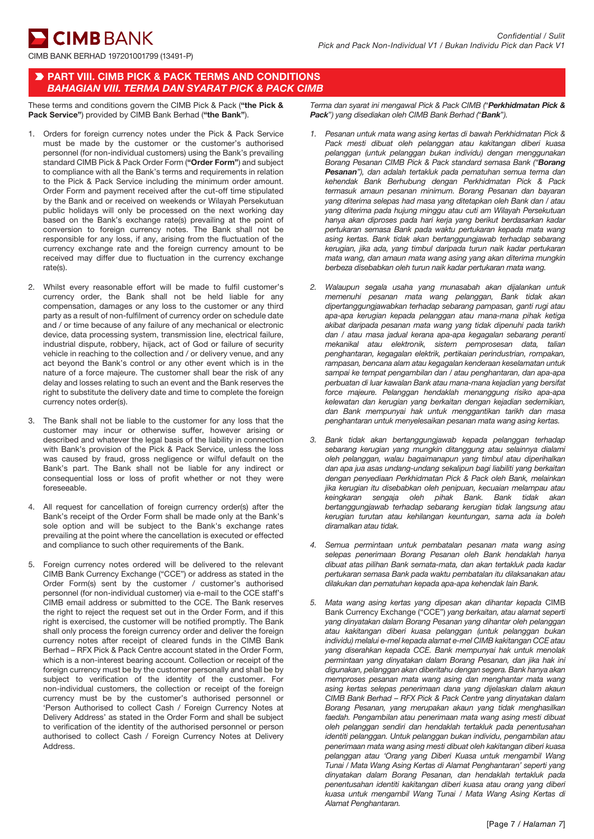CIMB BANK BERHAD 197201001799 (13491-P)

### **PART VIII. CIMB PICK & PACK TERMS AND CONDITIONS** *BAHAGIAN VIII. TERMA DAN SYARAT PICK & PACK CIMB*

These terms and conditions govern the CIMB Pick & Pack ("the Pick & Pack Service") provided by CIMB Bank Berhad ("the Bank").

- 1. Orders for foreign currency notes under the Pick & Pack Service must be made by the customer or the customer's authorised personnel (for non-individual customers) using the Bank's prevailing standard CIMB Pick & Pack Order Form ("Order Form") and subject to compliance with all the Bank's terms and requirements in relation to the Pick & Pack Service including the minimum order amount. Order Form and payment received after the cut-off time stipulated by the Bank and or received on weekends or Wilayah Persekutuan public holidays will only be processed on the next working day based on the Bank's exchange rate(s) prevailing at the point of conversion to foreign currency notes. The Bank shall not be responsible for any loss, if any, arising from the fluctuation of the currency exchange rate and the foreign currency amount to be received may differ due to fluctuation in the currency exchange rate(s).
- 2. Whilst every reasonable effort will be made to fulfil customer's currency order, the Bank shall not be held liable for any compensation, damages or any loss to the customer or any third party as a result of non-fulfilment of currency order on schedule date and / or time because of any failure of any mechanical or electronic device, data processing system, transmission line, electrical failure, industrial dispute, robbery, hijack, act of God or failure of security vehicle in reaching to the collection and / or delivery venue, and any act beyond the Bank's control or any other event which is in the nature of a force majeure. The customer shall bear the risk of any delay and losses relating to such an event and the Bank reserves the right to substitute the delivery date and time to complete the foreign currency notes order(s).
- 3. The Bank shall not be liable to the customer for any loss that the customer may incur or otherwise suffer, however arising or described and whatever the legal basis of the liability in connection with Bank's provision of the Pick & Pack Service, unless the loss was caused by fraud, gross negligence or wilful default on the Bank's part. The Bank shall not be liable for any indirect or consequential loss or loss of profit whether or not they were foreseeable.
- 4. All request for cancellation of foreign currency order(s) after the Bank's receipt of the Order Form shall be made only at the Bank's sole option and will be subject to the Bank's exchange rates prevailing at the point where the cancellation is executed or effected and compliance to such other requirements of the Bank.
- 5. Foreign currency notes ordered will be delivered to the relevant CIMB Bank Currency Exchange ("CCE") or address as stated in the Order Form(s) sent by the customer / customer's authorised personnel (for non-individual customer) via e-mail to the CCE staff's CIMB email address or submitted to the CCE. The Bank reserves the right to reject the request set out in the Order Form, and if this right is exercised, the customer will be notified promptly. The Bank shall only process the foreign currency order and deliver the foreign currency notes after receipt of cleared funds in the CIMB Bank Berhad – RFX Pick & Pack Centre account stated in the Order Form, which is a non-interest bearing account. Collection or receipt of the foreign currency must be by the customer personally and shall be by subject to verification of the identity of the customer. For non-individual customers, the collection or receipt of the foreign currency must be by the customer's authorised personnel or 'Person Authorised to collect Cash / Foreign Currency Notes at Delivery Address' as stated in the Order Form and shall be subject to verification of the identity of the authorised personnel or person authorised to collect Cash / Foreign Currency Notes at Delivery Address.

*Terma dan syarat ini mengawal Pick & Pack CIMB (*"*Perkhidmatan Pick & Pack*"*) yang disediakan oleh CIMB Bank Berhad (*"*Bank*"*).*

- *1. Pesanan untuk mata wang asing kertas di bawah Perkhidmatan Pick & Pack mesti dibuat oleh pelanggan atau kakitangan diberi kuasa pelanggan (untuk pelanggan bukan individu) dengan menggunakan Borang Pesanan CIMB Pick & Pack standard semasa Bank ("Borang Pesanan"), dan adalah tertakluk pada pematuhan semua terma dan kehendak Bank Berhubung dengan Perkhidmatan Pick & Pack termasuk amaun pesanan minimum. Borang Pesanan dan bayaran yang diterima selepas had masa yang ditetapkan oleh Bank dan / atau yang diterima pada hujung minggu atau cuti am Wilayah Persekutuan hanya akan diproses pada hari kerja yang berikut berdasarkan kadar pertukaran semasa Bank pada waktu pertukaran kepada mata wang asing kertas. Bank tidak akan bertanggungjawab terhadap sebarang kerugian, jika ada, yang timbul daripada turun naik kadar pertukaran mata wang, dan amaun mata wang asing yang akan diterima mungkin berbeza disebabkan oleh turun naik kadar pertukaran mata wang.*
- *2. Walaupun segala usaha yang munasabah akan dijalankan untuk memenuhi pesanan mata wang pelanggan, Bank tidak akan dipertanggungjawabkan terhadap sebarang pampasan, ganti rugi atau apa-apa kerugian kepada pelanggan atau mana-mana pihak ketiga akibat daripada pesanan mata wang yang tidak dipenuhi pada tarikh dan / atau masa jadual kerana apa-apa kegagalan sebarang peranti mekanikal atau elektronik, sistem pemprosesan data, talian penghantaran, kegagalan elektrik, pertikaian perindustrian, rompakan, rampasan, bencana alam atau kegagalan kenderaan keselamatan untuk sampai ke tempat pengambilan dan / atau penghantaran, dan apa-apa perbuatan di luar kawalan Bank atau mana-mana kejadian yang bersifat force majeure. Pelanggan hendaklah menanggung risiko apa-apa kelewatan dan kerugian yang berkaitan dengan kejadian sedemikian, dan Bank mempunyai hak untuk menggantikan tarikh dan masa penghantaran untuk menyelesaikan pesanan mata wang asing kertas.*
- *3. Bank tidak akan bertanggungjawab kepada pelanggan terhadap sebarang kerugian yang mungkin ditanggung atau selainnya dialami oleh pelanggan, walau bagaimanapun yang timbul atau diperihalkan dan apa jua asas undang-undang sekalipun bagi liabiliti yang berkaitan dengan penyediaan Perkhidmatan Pick & Pack oleh Bank, melainkan jika kerugian itu disebabkan oleh penipuan, kecuaian melampau atau keingkaran sengaja oleh pihak Bank. Bank tidak akan bertanggungjawab terhadap sebarang kerugian tidak langsung atau kerugian turutan atau kehilangan keuntungan, sama ada ia boleh diramalkan atau tidak.*
- *4. Semua permintaan untuk pembatalan pesanan mata wang asing selepas penerimaan Borang Pesanan oleh Bank hendaklah hanya dibuat atas pilihan Bank semata-mata, dan akan tertakluk pada kadar pertukaran semasa Bank pada waktu pembatalan itu dilaksanakan atau dilakukan dan pematuhan kepada apa-apa kehendak lain Bank.*
- *5. Mata wang asing kertas yang dipesan akan dihantar kepada* CIMB Bank Currency Exchange ("CCE") *yang berkaitan, atau alamat seperti yang dinyatakan dalam Borang Pesanan yang dihantar oleh pelanggan atau kakitangan diberi kuasa pelanggan (untuk pelanggan bukan individu) melalui e-mel kepada alamat e-mel CIMB kakitangan CCE atau yang diserahkan kepada CCE. Bank mempunyai hak untuk menolak permintaan yang dinyatakan dalam Borang Pesanan, dan jika hak ini digunakan, pelanggan akan diberitahu dengan segera. Bank hanya akan memproses pesanan mata wang asing dan menghantar mata wang asing kertas selepas penerimaan dana yang dijelaskan dalam akaun CIMB Bank Berhad – RFX Pick & Pack Centre yang dinyatakan dalam Borang Pesanan, yang merupakan akaun yang tidak menghasilkan faedah. Pengambilan atau penerimaan mata wang asing mesti dibuat oleh pelanggan sendiri dan hendaklah tertakluk pada penentusahan identiti pelanggan. Untuk pelanggan bukan individu, pengambilan atau penerimaan mata wang asing mesti dibuat oleh kakitangan diberi kuasa pelanggan atau 'Orang yang Diberi Kuasa untuk mengambil Wang Tunai / Mata Wang Asing Kertas di Alamat Penghantaran' seperti yang dinyatakan dalam Borang Pesanan, dan hendaklah tertakluk pada penentusahan identiti kakitangan diberi kuasa atau orang yang diberi kuasa untuk mengambil Wang Tunai / Mata Wang Asing Kertas di Alamat Penghantaran.*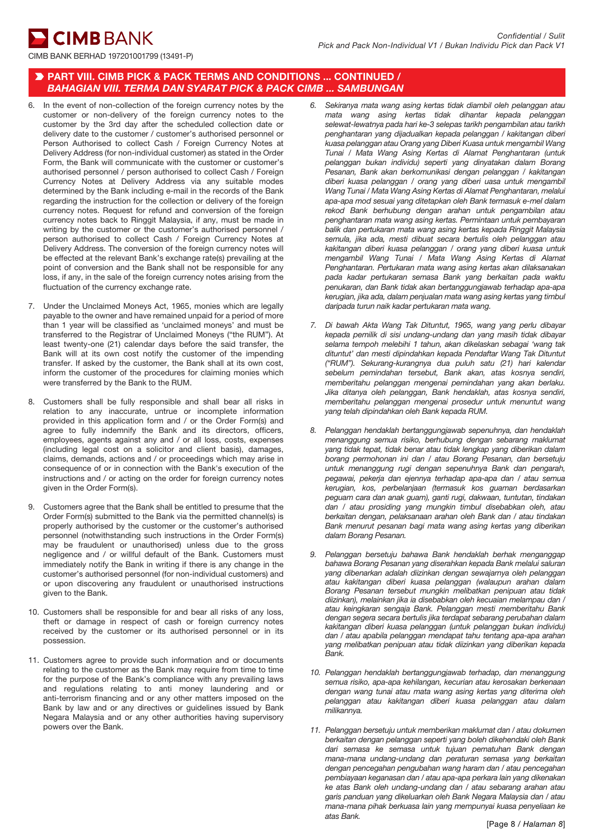**CIMB BANK** 

## PART VIII. CIMB PICK & PACK TERMS AND CONDITIONS ... CONTINUED / *BAHAGIAN VIII. TERMA DAN SYARAT PICK & PACK CIMB ... SAMBUNGAN*

- 6. In the event of non-collection of the foreign currency notes by the customer or non-delivery of the foreign currency notes to the customer by the 3rd day after the scheduled collection date or delivery date to the customer / customer's authorised personnel or Person Authorised to collect Cash / Foreign Currency Notes at Delivery Address (for non-individual customer) as stated in the Order Form, the Bank will communicate with the customer or customer's authorised personnel / person authorised to collect Cash / Foreign Currency Notes at Delivery Address via any suitable modes determined by the Bank including e-mail in the records of the Bank regarding the instruction for the collection or delivery of the foreign currency notes. Request for refund and conversion of the foreign currency notes back to Ringgit Malaysia, if any, must be made in writing by the customer or the customer's authorised personnel / person authorised to collect Cash / Foreign Currency Notes at Delivery Address. The conversion of the foreign currency notes will be effected at the relevant Bank's exchange rate(s) prevailing at the point of conversion and the Bank shall not be responsible for any loss, if any, in the sale of the foreign currency notes arising from the fluctuation of the currency exchange rate.
- 7. Under the Unclaimed Moneys Act, 1965, monies which are legally payable to the owner and have remained unpaid for a period of more than 1 year will be classified as 'unclaimed moneys' and must be transferred to the Registrar of Unclaimed Moneys ("the RUM"). At least twenty-one (21) calendar days before the said transfer, the Bank will at its own cost notify the customer of the impending transfer. If asked by the customer, the Bank shall at its own cost, inform the customer of the procedures for claiming monies which were transferred by the Bank to the RUM.
- 8. Customers shall be fully responsible and shall bear all risks in relation to any inaccurate, untrue or incomplete information provided in this application form and / or the Order Form(s) and agree to fully indemnify the Bank and its directors, officers, employees, agents against any and / or all loss, costs, expenses (including legal cost on a solicitor and client basis), damages, claims, demands, actions and / or proceedings which may arise in consequence of or in connection with the Bank's execution of the instructions and / or acting on the order for foreign currency notes given in the Order Form(s).
- 9. Customers agree that the Bank shall be entitled to presume that the Order Form(s) submitted to the Bank via the permitted channel(s) is properly authorised by the customer or the customer's authorised personnel (notwithstanding such instructions in the Order Form(s) may be fraudulent or unauthorised) unless due to the gross negligence and / or willful default of the Bank. Customers must immediately notify the Bank in writing if there is any change in the customer's authorised personnel (for non-individual customers) and or upon discovering any fraudulent or unauthorised instructions given to the Bank.
- 10. Customers shall be responsible for and bear all risks of any loss, theft or damage in respect of cash or foreign currency notes received by the customer or its authorised personnel or in its possession.
- 11. Customers agree to provide such information and or documents relating to the customer as the Bank may require from time to time for the purpose of the Bank's compliance with any prevailing laws and regulations relating to anti money laundering and or anti-terrorism financing and or any other matters imposed on the Bank by law and or any directives or guidelines issued by Bank Negara Malaysia and or any other authorities having supervisory powers over the Bank.
- *6. Sekiranya mata wang asing kertas tidak diambil oleh pelanggan atau mata wang asing kertas tidak dihantar kepada pelanggan selewat-lewatnya pada hari ke-3 selepas tarikh pengambilan atau tarikh penghantaran yang dijadualkan kepada pelanggan / kakitangan diberi kuasa pelanggan atau Orang yang Diberi Kuasa untuk mengambil Wang Tunai / Mata Wang Asing Kertas di Alamat Penghantaran (untuk pelanggan bukan individu) seperti yang dinyatakan dalam Borang Pesanan, Bank akan berkomunikasi dengan pelanggan / kakitangan diberi kuasa pelanggan / orang yang diberi uasa untuk mengambil Wang Tunai / Mata Wang Asing Kertas di Alamat Penghantaran, melalui apa-apa mod sesuai yang ditetapkan oleh Bank termasuk e-mel dalam rekod Bank berhubung dengan arahan untuk pengambilan atau penghantaran mata wang asing kertas. Permintaan untuk pembayaran balik dan pertukaran mata wang asing kertas kepada Ringgit Malaysia semula, jika ada, mesti dibuat secara bertulis oleh pelanggan atau kakitangan diberi kuasa pelanggan / orang yang diberi kuasa untuk mengambil Wang Tunai / Mata Wang Asing Kertas di Alamat Penghantaran. Pertukaran mata wang asing kertas akan dilaksanakan pada kadar pertukaran semasa Bank yang berkaitan pada waktu penukaran, dan Bank tidak akan bertanggungjawab terhadap apa-apa kerugian, jika ada, dalam penjualan mata wang asing kertas yang timbul daripada turun naik kadar pertukaran mata wang.*
- *7. Di bawah Akta Wang Tak Dituntut, 1965, wang yang perlu dibayar kepada pemilik di sisi undang-undang dan yang masih tidak dibayar selama tempoh melebihi 1 tahun, akan dikelaskan sebagai 'wang tak dituntut' dan mesti dipindahkan kepada Pendaftar Wang Tak Dituntut ("RUM"). Sekurang-kurangnya dua puluh satu (21) hari kalendar sebelum pemindahan tersebut, Bank akan, atas kosnya sendiri, memberitahu pelanggan mengenai pemindahan yang akan berlaku. Jika ditanya oleh pelanggan, Bank hendaklah, atas kosnya sendiri, memberitahu pelanggan mengenai prosedur untuk menuntut wang yang telah dipindahkan oleh Bank kepada RUM.*
- *8. Pelanggan hendaklah bertanggungjawab sepenuhnya, dan hendaklah menanggung semua risiko, berhubung dengan sebarang maklumat yang tidak tepat, tidak benar atau tidak lengkap yang diberikan dalam borang permohonan ini dan / atau Borang Pesanan, dan bersetuju untuk menanggung rugi dengan sepenuhnya Bank dan pengarah, pegawai, pekerja dan ejennya terhadap apa-apa dan / atau semua kerugian, kos, perbelanjaan (termasuk kos guaman berdasarkan peguam cara dan anak guam), ganti rugi, dakwaan, tuntutan, tindakan dan / atau prosiding yang mungkin timbul disebabkan oleh, atau berkaitan dengan, pelaksanaan arahan oleh Bank dan / atau tindakan Bank menurut pesanan bagi mata wang asing kertas yang diberikan dalam Borang Pesanan.*
- *9. Pelanggan bersetuju bahawa Bank hendaklah berhak menganggap bahawa Borang Pesanan yang diserahkan kepada Bank melalui saluran yang dibenarkan adalah diizinkan dengan sewajarnya oleh pelanggan atau kakitangan diberi kuasa pelanggan (walaupun arahan dalam Borang Pesanan tersebut mungkin melibatkan penipuan atau tidak diizinkan), melainkan jika ia disebabkan oleh kecuaian melampau dan / atau keingkaran sengaja Bank. Pelanggan mesti memberitahu Bank dengan segera secara bertulis jika terdapat sebarang perubahan dalam kakitangan diberi kuasa pelanggan (untuk pelanggan bukan individu) dan / atau apabila pelanggan mendapat tahu tentang apa-apa arahan yang melibatkan penipuan atau tidak diizinkan yang diberikan kepada Bank.*
- *10. Pelanggan hendaklah bertanggungjawab terhadap, dan menanggung semua risiko, apa-apa kehilangan, kecurian atau kerosakan berkenaan dengan wang tunai atau mata wang asing kertas yang diterima oleh pelanggan atau kakitangan diberi kuasa pelanggan atau dalam milikannya.*
- *11. Pelanggan bersetuju untuk memberikan maklumat dan / atau dokumen berkaitan dengan pelanggan seperti yang boleh dikehendaki oleh Bank dari semasa ke semasa untuk tujuan pematuhan Bank dengan mana-mana undang-undang dan peraturan semasa yang berkaitan dengan pencegahan pengubahan wang haram dan / atau pencegahan pembiayaan keganasan dan / atau apa-apa perkara lain yang dikenakan ke atas Bank oleh undang-undang dan / atau sebarang arahan atau garis panduan yang dikeluarkan oleh Bank Negara Malaysia dan / atau mana-mana pihak berkuasa lain yang mempunyai kuasa penyeliaan ke atas Bank.*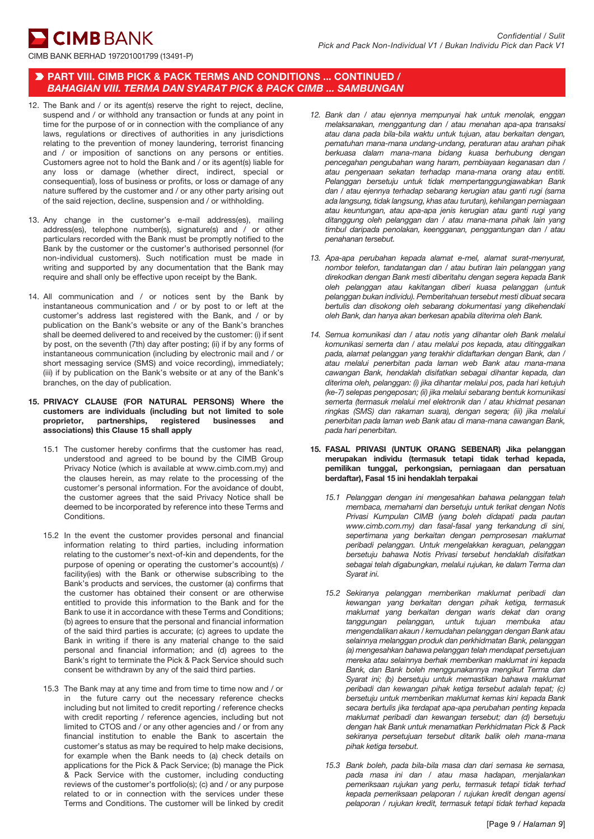**CIMB** BANK

# PART VIII. CIMB PICK & PACK TERMS AND CONDITIONS ... CONTINUED / *BAHAGIAN VIII. TERMA DAN SYARAT PICK & PACK CIMB ... SAMBUNGAN*

- 12. The Bank and / or its agent(s) reserve the right to reject, decline, suspend and / or withhold any transaction or funds at any point in time for the purpose of or in connection with the compliance of any laws, regulations or directives of authorities in any jurisdictions relating to the prevention of money laundering, terrorist financing and / or imposition of sanctions on any persons or entities. Customers agree not to hold the Bank and / or its agent(s) liable for any loss or damage (whether direct, indirect, special or consequential), loss of business or profits, or loss or damage of any nature suffered by the customer and / or any other party arising out of the said rejection, decline, suspension and / or withholding.
- 13. Any change in the customer's e-mail address(es), mailing address(es), telephone number(s), signature(s) and / or other particulars recorded with the Bank must be promptly notified to the Bank by the customer or the customer's authorised personnel (for non-individual customers). Such notification must be made in writing and supported by any documentation that the Bank may require and shall only be effective upon receipt by the Bank.
- 14. All communication and / or notices sent by the Bank by instantaneous communication and / or by post to or left at the customer's address last registered with the Bank, and / or by publication on the Bank's website or any of the Bank's branches shall be deemed delivered to and received by the customer: (i) if sent by post, on the seventh (7th) day after posting; (ii) if by any forms of instantaneous communication (including by electronic mail and / or short messaging service (SMS) and voice recording), immediately; (iii) if by publication on the Bank's website or at any of the Bank's branches, on the day of publication.
- 15. PRIVACY CLAUSE (FOR NATURAL PERSONS) Where the customers are individuals (including but not limited to sole proprietor, partnerships, registered businesses and associations) this Clause 15 shall apply
	- 15.1 The customer hereby confirms that the customer has read, understood and agreed to be bound by the CIMB Group Privacy Notice (which is available at www.cimb.com.my) and the clauses herein, as may relate to the processing of the customer's personal information. For the avoidance of doubt, the customer agrees that the said Privacy Notice shall be deemed to be incorporated by reference into these Terms and **Conditions**
	- 15.2 In the event the customer provides personal and financial information relating to third parties, including information relating to the customer's next-of-kin and dependents, for the purpose of opening or operating the customer's account(s) / facility(ies) with the Bank or otherwise subscribing to the Bank's products and services, the customer (a) confirms that the customer has obtained their consent or are otherwise entitled to provide this information to the Bank and for the Bank to use it in accordance with these Terms and Conditions; (b) agrees to ensure that the personal and financial information of the said third parties is accurate; (c) agrees to update the Bank in writing if there is any material change to the said personal and financial information; and (d) agrees to the Bank's right to terminate the Pick & Pack Service should such consent be withdrawn by any of the said third parties.
	- 15.3 The Bank may at any time and from time to time now and / or in the future carry out the necessary reference checks including but not limited to credit reporting / reference checks with credit reporting / reference agencies, including but not limited to CTOS and / or any other agencies and / or from any financial institution to enable the Bank to ascertain the customer's status as may be required to help make decisions, for example when the Bank needs to (a) check details on applications for the Pick & Pack Service; (b) manage the Pick & Pack Service with the customer, including conducting reviews of the customer's portfolio(s); (c) and / or any purpose related to or in connection with the services under these Terms and Conditions. The customer will be linked by credit
- *12. Bank dan / atau ejennya mempunyai hak untuk menolak, enggan melaksanakan, menggantung dan / atau menahan apa-apa transaksi atau dana pada bila-bila waktu untuk tujuan, atau berkaitan dengan, pematuhan mana-mana undang-undang, peraturan atau arahan pihak berkuasa dalam mana-mana bidang kuasa berhubung dengan pencegahan pengubahan wang haram, pembiayaan keganasan dan / atau pengenaan sekatan terhadap mana-mana orang atau entiti. Pelanggan bersetuju untuk tidak mempertanggungjawabkan Bank dan / atau ejennya terhadap sebarang kerugian atau ganti rugi (sama ada langsung, tidak langsung, khas atau turutan), kehilangan perniagaan atau keuntungan, atau apa-apa jenis kerugian atau ganti rugi yang ditanggung oleh pelanggan dan / atau mana-mana pihak lain yang timbul daripada penolakan, keengganan, penggantungan dan / atau penahanan tersebut.*
- *13. Apa-apa perubahan kepada alamat e-mel, alamat surat-menyurat, nombor telefon, tandatangan dan / atau butiran lain pelanggan yang direkodkan dengan Bank mesti diberitahu dengan segera kepada Bank oleh pelanggan atau kakitangan diberi kuasa pelanggan (untuk pelanggan bukan individu). Pemberitahuan tersebut mesti dibuat secara bertulis dan disokong oleh sebarang dokumentasi yang dikehendaki oleh Bank, dan hanya akan berkesan apabila diterima oleh Bank.*
- *14. Semua komunikasi dan / atau notis yang dihantar oleh Bank melalui komunikasi semerta dan / atau melalui pos kepada, atau ditinggalkan pada, alamat pelanggan yang terakhir didaftarkan dengan Bank, dan / atau melalui penerbitan pada laman web Bank atau mana-mana cawangan Bank, hendaklah disifatkan sebagai dihantar kepada, dan diterima oleh, pelanggan: (i) jika dihantar melalui pos, pada hari ketujuh (ke-7) selepas pengeposan; (ii) jika melalui sebarang bentuk komunikasi semerta (termasuk melalui mel elektronik dan / atau khidmat pesanan ringkas (SMS) dan rakaman suara), dengan segera; (iii) jika melalui penerbitan pada laman web Bank atau di mana-mana cawangan Bank, pada hari penerbitan.*
- 15. FASAL PRIVASI (UNTUK ORANG SEBENAR) Jika pelanggan merupakan individu (termasuk tetapi tidak terhad kepada, pemilikan tunggal, perkongsian, perniagaan dan persatuan berdaftar), Fasal 15 ini hendaklah terpakai
	- *15.1 Pelanggan dengan ini mengesahkan bahawa pelanggan telah membaca, memahami dan bersetuju untuk terikat dengan Notis Privasi Kumpulan CIMB (yang boleh didapati pada pautan www.cimb.com.my) dan fasal-fasal yang terkandung di sini, sepertimana yang berkaitan dengan pemprosesan maklumat peribadi pelanggan. Untuk mengelakkan keraguan, pelanggan bersetuju bahawa Notis Privasi tersebut hendaklah disifatkan sebagai telah digabungkan, melalui rujukan, ke dalam Terma dan Syarat ini.*
	- *15.2 Sekiranya pelanggan memberikan maklumat peribadi dan kewangan yang berkaitan dengan pihak ketiga, termasuk maklumat yang berkaitan dengan waris dekat dan orang tanggungan pelanggan, untuk tujuan membuka atau mengendalikan akaun / kemudahan pelanggan dengan Bank atau selainnya melanggan produk dan perkhidmatan Bank, pelanggan (a) mengesahkan bahawa pelanggan telah mendapat persetujuan mereka atau selainnya berhak memberikan maklumat ini kepada Bank, dan Bank boleh menggunakannya mengikut Terma dan Syarat ini; (b) bersetuju untuk memastikan bahawa maklumat peribadi dan kewangan pihak ketiga tersebut adalah tepat; (c) bersetuju untuk memberikan maklumat kemas kini kepada Bank secara bertulis jika terdapat apa-apa perubahan penting kepada maklumat peribadi dan kewangan tersebut; dan (d) bersetuju dengan hak Bank untuk menamatkan Perkhidmatan Pick & Pack sekiranya persetujuan tersebut ditarik balik oleh mana-mana pihak ketiga tersebut.*
	- *15.3 Bank boleh, pada bila-bila masa dan dari semasa ke semasa, pada masa ini dan / atau masa hadapan, menjalankan pemeriksaan rujukan yang perlu, termasuk tetapi tidak terhad kepada pemeriksaan pelaporan / rujukan kredit dengan agensi pelaporan / rujukan kredit, termasuk tetapi tidak terhad kepada*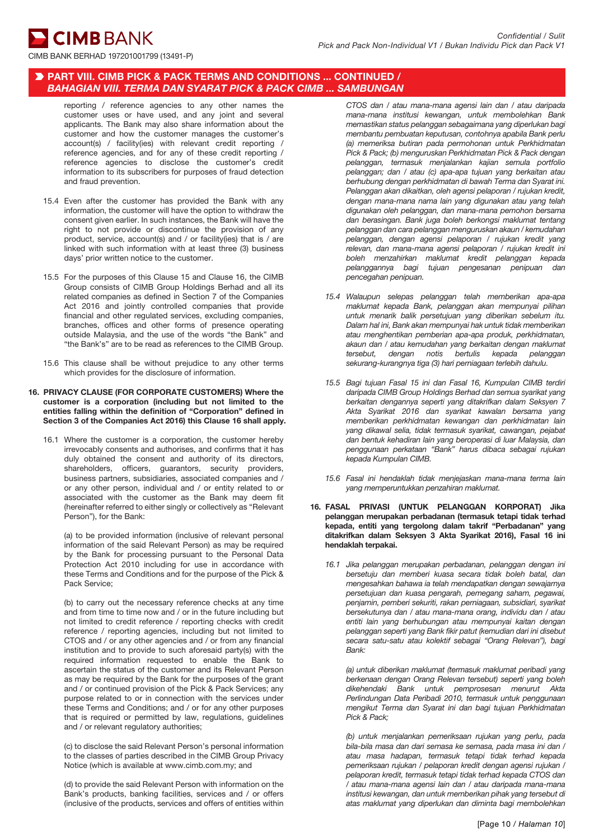**CIMB** BANK

### PART VIII. CIMB PICK & PACK TERMS AND CONDITIONS ... CONTINUED / *BAHAGIAN VIII. TERMA DAN SYARAT PICK & PACK CIMB ... SAMBUNGAN*

reporting / reference agencies to any other names the customer uses or have used, and any joint and several applicants. The Bank may also share information about the customer and how the customer manages the customer's  $account(s)$  / facility(ies) with relevant credit reporting / reference agencies, and for any of these credit reporting / reference agencies to disclose the customer's credit information to its subscribers for purposes of fraud detection and fraud prevention.

- 15.4 Even after the customer has provided the Bank with any information, the customer will have the option to withdraw the consent given earlier. In such instances, the Bank will have the right to not provide or discontinue the provision of any product, service, account(s) and / or facility(ies) that is / are linked with such information with at least three (3) business days' prior written notice to the customer.
- 15.5 For the purposes of this Clause 15 and Clause 16, the CIMB Group consists of CIMB Group Holdings Berhad and all its related companies as defined in Section 7 of the Companies Act 2016 and jointly controlled companies that provide financial and other regulated services, excluding companies, branches, offices and other forms of presence operating outside Malaysia, and the use of the words "the Bank" and "the Bank's" are to be read as references to the CIMB Group.
- 15.6 This clause shall be without prejudice to any other terms which provides for the disclosure of information.
- 16. PRIVACY CLAUSE (FOR CORPORATE CUSTOMERS) Where the customer is a corporation (including but not limited to the entities falling within the definition of "Corporation" defined in Section 3 of the Companies Act 2016) this Clause 16 shall apply.
	- 16.1 Where the customer is a corporation, the customer hereby irrevocably consents and authorises, and confirms that it has duly obtained the consent and authority of its directors, shareholders, officers, guarantors, security providers, business partners, subsidiaries, associated companies and / or any other person, individual and / or entity related to or associated with the customer as the Bank may deem fit (hereinafter referred to either singly or collectively as "Relevant Person"), for the Bank:

(a) to be provided information (inclusive of relevant personal information of the said Relevant Person) as may be required by the Bank for processing pursuant to the Personal Data Protection Act 2010 including for use in accordance with these Terms and Conditions and for the purpose of the Pick & Pack Service;

(b) to carry out the necessary reference checks at any time and from time to time now and / or in the future including but not limited to credit reference / reporting checks with credit reference / reporting agencies, including but not limited to CTOS and / or any other agencies and / or from any financial institution and to provide to such aforesaid party(s) with the required information requested to enable the Bank to ascertain the status of the customer and its Relevant Person as may be required by the Bank for the purposes of the grant and / or continued provision of the Pick & Pack Services; any purpose related to or in connection with the services under these Terms and Conditions; and / or for any other purposes that is required or permitted by law, regulations, guidelines and / or relevant regulatory authorities;

(c) to disclose the said Relevant Person's personal information to the classes of parties described in the CIMB Group Privacy Notice (which is available at www.cimb.com.my; and

(d) to provide the said Relevant Person with information on the Bank's products, banking facilities, services and / or offers (inclusive of the products, services and offers of entities within

*CTOS dan / atau mana-mana agensi lain dan / atau daripada mana-mana institusi kewangan, untuk membolehkan Bank memastikan status pelanggan sebagaimana yang diperlukan bagi membantu pembuatan keputusan, contohnya apabila Bank perlu (a) memeriksa butiran pada permohonan untuk Perkhidmatan Pick & Pack; (b) menguruskan Perkhidmatan Pick & Pack dengan pelanggan, termasuk menjalankan kajian semula portfolio pelanggan; dan / atau (c) apa-apa tujuan yang berkaitan atau berhubung dengan perkhidmatan di bawah Terma dan Syarat ini. Pelanggan akan dikaitkan, oleh agensi pelaporan / rujukan kredit, dengan mana-mana nama lain yang digunakan atau yang telah digunakan oleh pelanggan, dan mana-mana pemohon bersama dan berasingan. Bank juga boleh berkongsi maklumat tentang pelanggan dan cara pelanggan menguruskan akaun / kemudahan pelanggan, dengan agensi pelaporan / rujukan kredit yang relevan, dan mana-mana agensi pelaporan / rujukan kredit ini boleh menzahirkan maklumat kredit pelanggan kepada pelanggannya bagi tujuan pengesanan penipuan dan pencegahan penipuan.*

- *15.4 Walaupun selepas pelanggan telah memberikan apa-apa maklumat kepada Bank, pelanggan akan mempunyai pilihan untuk menarik balik persetujuan yang diberikan sebelum itu. Dalam hal ini, Bank akan mempunyai hak untuk tidak memberikan atau menghentikan pemberian apa-apa produk, perkhidmatan, akaun dan / atau kemudahan yang berkaitan dengan maklumat tersebut, dengan notis bertulis kepada pelanggan sekurang-kurangnya tiga (3) hari perniagaan terlebih dahulu.*
- *15.5 Bagi tujuan Fasal 15 ini dan Fasal 16, Kumpulan CIMB terdiri daripada CIMB Group Holdings Berhad dan semua syarikat yang berkaitan dengannya seperti yang ditakrifkan dalam Seksyen 7 Akta Syarikat 2016 dan syarikat kawalan bersama yang memberikan perkhidmatan kewangan dan perkhidmatan lain yang dikawal selia, tidak termasuk syarikat, cawangan, pejabat dan bentuk kehadiran lain yang beroperasi di luar Malaysia, dan penggunaan perkataan "Bank" harus dibaca sebagai rujukan kepada Kumpulan CIMB.*
- *15.6 Fasal ini hendaklah tidak menjejaskan mana-mana terma lain yang memperuntukkan penzahiran maklumat.*
- 16. FASAL PRIVASI (UNTUK PELANGGAN KORPORAT) Jika pelanggan merupakan perbadanan (termasuk tetapi tidak terhad kepada, entiti yang tergolong dalam takrif "Perbadanan" yang ditakrifkan dalam Seksyen 3 Akta Syarikat 2016), Fasal 16 ini hendaklah terpakai.
	- *16.1 Jika pelanggan merupakan perbadanan, pelanggan dengan ini bersetuju dan memberi kuasa secara tidak boleh batal, dan mengesahkan bahawa ia telah mendapatkan dengan sewajarnya persetujuan dan kuasa pengarah, pemegang saham, pegawai, penjamin, pemberi sekuriti, rakan perniagaan, subsidiari, syarikat bersekutunya dan / atau mana-mana orang, individu dan / atau entiti lain yang berhubungan atau mempunyai kaitan dengan pelanggan seperti yang Bank fikir patut (kemudian dari ini disebut secara satu-satu atau kolektif sebagai "Orang Relevan"), bagi Bank:*

*(a) untuk diberikan maklumat (termasuk maklumat peribadi yang berkenaan dengan Orang Relevan tersebut) seperti yang boleh dikehendaki Bank untuk pemprosesan menurut Akta Perlindungan Data Peribadi 2010, termasuk untuk penggunaan mengikut Terma dan Syarat ini dan bagi tujuan Perkhidmatan Pick & Pack;*

*(b) untuk menjalankan pemeriksaan rujukan yang perlu, pada bila-bila masa dan dari semasa ke semasa, pada masa ini dan / atau masa hadapan, termasuk tetapi tidak terhad kepada pemeriksaan rujukan / pelaporan kredit dengan agensi rujukan / pelaporan kredit, termasuk tetapi tidak terhad kepada CTOS dan / atau mana-mana agensi lain dan / atau daripada mana-mana institusi kewangan, dan untuk memberikan pihak yang tersebut di atas maklumat yang diperlukan dan diminta bagi membolehkan*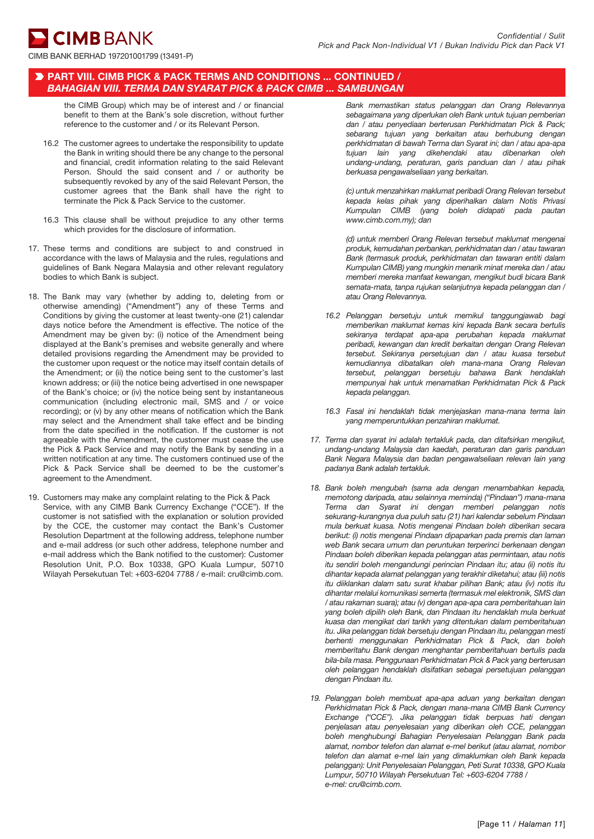**CIMB BANK** 

### PART VIII. CIMB PICK & PACK TERMS AND CONDITIONS ... CONTINUED / *BAHAGIAN VIII. TERMA DAN SYARAT PICK & PACK CIMB ... SAMBUNGAN*

the CIMB Group) which may be of interest and / or financial benefit to them at the Bank's sole discretion, without further reference to the customer and / or its Relevant Person.

- 16.2 The customer agrees to undertake the responsibility to update the Bank in writing should there be any change to the personal and financial, credit information relating to the said Relevant Person. Should the said consent and / or authority be subsequently revoked by any of the said Relevant Person, the customer agrees that the Bank shall have the right to terminate the Pick & Pack Service to the customer.
- 16.3 This clause shall be without prejudice to any other terms which provides for the disclosure of information.
- 17. These terms and conditions are subject to and construed in accordance with the laws of Malaysia and the rules, regulations and guidelines of Bank Negara Malaysia and other relevant regulatory bodies to which Bank is subject.
- 18. The Bank may vary (whether by adding to, deleting from or otherwise amending) ("Amendment") any of these Terms and Conditions by giving the customer at least twenty-one (21) calendar days notice before the Amendment is effective. The notice of the Amendment may be given by: (i) notice of the Amendment being displayed at the Bank's premises and website generally and where detailed provisions regarding the Amendment may be provided to the customer upon request or the notice may itself contain details of the Amendment; or (ii) the notice being sent to the customer's last known address; or (iii) the notice being advertised in one newspaper of the Bank's choice; or (iv) the notice being sent by instantaneous communication (including electronic mail, SMS and / or voice recording); or (v) by any other means of notification which the Bank may select and the Amendment shall take effect and be binding from the date specified in the notification. If the customer is not agreeable with the Amendment, the customer must cease the use the Pick & Pack Service and may notify the Bank by sending in a written notification at any time. The customers continued use of the Pick & Pack Service shall be deemed to be the customer's agreement to the Amendment.
- 19. Customers may make any complaint relating to the Pick & Pack Service, with any CIMB Bank Currency Exchange ("CCE"). If the customer is not satisfied with the explanation or solution provided by the CCE, the customer may contact the Bank's Customer Resolution Department at the following address, telephone number and e-mail address (or such other address, telephone number and e-mail address which the Bank notified to the customer): Customer Resolution Unit, P.O. Box 10338, GPO Kuala Lumpur, 50710 Wilayah Persekutuan Tel: +603-6204 7788 / e-mail: cru@cimb.com.

*Bank memastikan status pelanggan dan Orang Relevannya sebagaimana yang diperlukan oleh Bank untuk tujuan pemberian dan / atau penyediaan berterusan Perkhidmatan Pick & Pack; sebarang tujuan yang berkaitan atau berhubung dengan perkhidmatan di bawah Terma dan Syarat ini; dan / atau apa-apa tujuan lain yang dikehendaki atau dibenarkan oleh undang-undang, peraturan, garis panduan dan / atau pihak berkuasa pengawalseliaan yang berkaitan.*

*(c) untuk menzahirkan maklumat peribadi Orang Relevan tersebut kepada kelas pihak yang diperihalkan dalam Notis Privasi Kumpulan CIMB (yang boleh didapati pada pautan www.cimb.com.my); dan*

*(d) untuk memberi Orang Relevan tersebut maklumat mengenai produk, kemudahan perbankan, perkhidmatan dan / atau tawaran Bank (termasuk produk, perkhidmatan dan tawaran entiti dalam Kumpulan CIMB) yang mungkin menarik minat mereka dan / atau memberi mereka manfaat kewangan, mengikut budi bicara Bank semata-mata, tanpa rujukan selanjutnya kepada pelanggan dan / atau Orang Relevannya.*

- *16.2 Pelanggan bersetuju untuk memikul tanggungjawab bagi memberikan maklumat kemas kini kepada Bank secara bertulis sekiranya terdapat apa-apa perubahan kepada maklumat peribadi, kewangan dan kredit berkaitan dengan Orang Relevan tersebut. Sekiranya persetujuan dan / atau kuasa tersebut kemudiannya dibatalkan oleh mana-mana Orang Relevan tersebut, pelanggan bersetuju bahawa Bank hendaklah mempunyai hak untuk menamatkan Perkhidmatan Pick & Pack kepada pelanggan.*
- *16.3 Fasal ini hendaklah tidak menjejaskan mana-mana terma lain yang memperuntukkan penzahiran maklumat.*
- *17. Terma dan syarat ini adalah tertakluk pada, dan ditafsirkan mengikut, undang-undang Malaysia dan kaedah, peraturan dan garis panduan Bank Negara Malaysia dan badan pengawalseliaan relevan lain yang padanya Bank adalah tertakluk.*
- *18. Bank boleh mengubah (sama ada dengan menambahkan kepada, memotong daripada, atau selainnya meminda) ("Pindaan") mana-mana Terma dan Syarat ini dengan memberi pelanggan notis sekurang-kurangnya dua puluh satu (21) hari kalendar sebelum Pindaan mula berkuat kuasa. Notis mengenai Pindaan boleh diberikan secara berikut: (i) notis mengenai Pindaan dipaparkan pada premis dan laman web Bank secara umum dan peruntukan terperinci berkenaan dengan Pindaan boleh diberikan kepada pelanggan atas permintaan, atau notis itu sendiri boleh mengandungi perincian Pindaan itu; atau (ii) notis itu dihantar kepada alamat pelanggan yang terakhir diketahui; atau (iii) notis itu diiklankan dalam satu surat khabar pilihan Bank; atau (iv) notis itu dihantar melalui komunikasi semerta (termasuk mel elektronik, SMS dan / atau rakaman suara); atau (v) dengan apa-apa cara pemberitahuan lain yang boleh dipilih oleh Bank, dan Pindaan itu hendaklah mula berkuat kuasa dan mengikat dari tarikh yang ditentukan dalam pemberitahuan itu. Jika pelanggan tidak bersetuju dengan Pindaan itu, pelanggan mesti berhenti menggunakan Perkhidmatan Pick & Pack, dan boleh memberitahu Bank dengan menghantar pemberitahuan bertulis pada bila-bila masa. Penggunaan Perkhidmatan Pick & Pack yang berterusan oleh pelanggan hendaklah disifatkan sebagai persetujuan pelanggan dengan Pindaan itu.*
- *19. Pelanggan boleh membuat apa-apa aduan yang berkaitan dengan Perkhidmatan Pick & Pack, dengan mana-mana CIMB Bank Currency Exchange ("CCE"). Jika pelanggan tidak berpuas hati dengan penjelasan atau penyelesaian yang diberikan oleh CCE, pelanggan boleh menghubungi Bahagian Penyelesaian Pelanggan Bank pada alamat, nombor telefon dan alamat e-mel berikut (atau alamat, nombor telefon dan alamat e-mel lain yang dimaklumkan oleh Bank kepada pelanggan): Unit Penyelesaian Pelanggan, Peti Surat 10338, GPO Kuala Lumpur, 50710 Wilayah Persekutuan Tel: +603-6204 7788 / e-mel: cru@cimb.com.*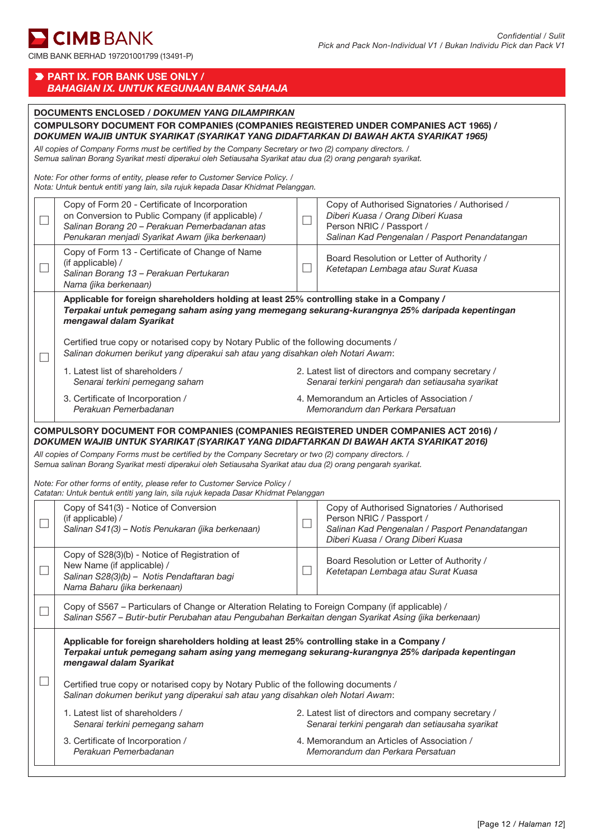# **E** CIMB BANK

CIMB BANK BERHAD 197201001799 (13491-P)

|                             | PART IX. FOR BANK USE ONLY /<br><b>BAHAGIAN IX. UNTUK KEGUNAAN BANK SAHAJA</b>                                                                                                                                                      |                                                                                                                                                                                   |                                                                                                                                                                |  |  |
|-----------------------------|-------------------------------------------------------------------------------------------------------------------------------------------------------------------------------------------------------------------------------------|-----------------------------------------------------------------------------------------------------------------------------------------------------------------------------------|----------------------------------------------------------------------------------------------------------------------------------------------------------------|--|--|
|                             | <b>DOCUMENTS ENCLOSED / DOKUMEN YANG DILAMPIRKAN</b><br>COMPULSORY DOCUMENT FOR COMPANIES (COMPANIES REGISTERED UNDER COMPANIES ACT 1965) /<br>DOKUMEN WAJIB UNTUK SYARIKAT (SYARIKAT YANG DIDAFTARKAN DI BAWAH AKTA SYARIKAT 1965) |                                                                                                                                                                                   |                                                                                                                                                                |  |  |
|                             | All copies of Company Forms must be certified by the Company Secretary or two (2) company directors. /<br>Semua salinan Borang Syarikat mesti diperakui oleh Setiausaha Syarikat atau dua (2) orang pengarah syarikat.              |                                                                                                                                                                                   |                                                                                                                                                                |  |  |
|                             | Note: For other forms of entity, please refer to Customer Service Policy. /<br>Nota: Untuk bentuk entiti yang lain, sila rujuk kepada Dasar Khidmat Pelanggan.                                                                      |                                                                                                                                                                                   |                                                                                                                                                                |  |  |
| $\mathcal{L}_{\mathcal{A}}$ | Copy of Form 20 - Certificate of Incorporation<br>on Conversion to Public Company (if applicable) /<br>Salinan Borang 20 - Perakuan Pemerbadanan atas<br>Penukaran menjadi Syarikat Awam (jika berkenaan)                           | Copy of Authorised Signatories / Authorised /<br>Diberi Kuasa / Orang Diberi Kuasa<br>$\mathcal{L}$<br>Person NRIC / Passport /<br>Salinan Kad Pengenalan / Pasport Penandatangan |                                                                                                                                                                |  |  |
|                             | Copy of Form 13 - Certificate of Change of Name<br>(if applicable) /<br>Salinan Borang 13 - Perakuan Pertukaran<br>Nama (jika berkenaan)                                                                                            | $\mathcal{L}$                                                                                                                                                                     | Board Resolution or Letter of Authority /<br>Ketetapan Lembaga atau Surat Kuasa                                                                                |  |  |
|                             | Applicable for foreign shareholders holding at least 25% controlling stake in a Company /<br>Terpakai untuk pemegang saham asing yang memegang sekurang-kurangnya 25% daripada kepentingan<br>mengawal dalam Syarikat               |                                                                                                                                                                                   |                                                                                                                                                                |  |  |
|                             | Certified true copy or notarised copy by Notary Public of the following documents /<br>Salinan dokumen berikut yang diperakui sah atau yang disahkan oleh Notari Awam:                                                              |                                                                                                                                                                                   |                                                                                                                                                                |  |  |
|                             | 1. Latest list of shareholders /<br>Senarai terkini pemegang saham                                                                                                                                                                  | 2. Latest list of directors and company secretary /<br>Senarai terkini pengarah dan setiausaha syarikat                                                                           |                                                                                                                                                                |  |  |
|                             | 3. Certificate of Incorporation /<br>Perakuan Pemerbadanan                                                                                                                                                                          | 4. Memorandum an Articles of Association /<br>Memorandum dan Perkara Persatuan                                                                                                    |                                                                                                                                                                |  |  |
|                             | COMPULSORY DOCUMENT FOR COMPANIES (COMPANIES REGISTERED UNDER COMPANIES ACT 2016) /<br>DOKUMEN WAJIB UNTUK SYARIKAT (SYARIKAT YANG DIDAFTARKAN DI BAWAH AKTA SYARIKAT 2016)                                                         |                                                                                                                                                                                   |                                                                                                                                                                |  |  |
|                             | All copies of Company Forms must be certified by the Company Secretary or two (2) company directors. /<br>Semua salinan Borang Syarikat mesti diperakui oleh Setiausaha Syarikat atau dua (2) orang pengarah syarikat.              |                                                                                                                                                                                   |                                                                                                                                                                |  |  |
|                             | Note: For other forms of entity, please refer to Customer Service Policy /<br>Catatan: Untuk bentuk entiti yang lain, sila rujuk kepada Dasar Khidmat Pelanggan                                                                     |                                                                                                                                                                                   |                                                                                                                                                                |  |  |
|                             | Copy of S41(3) - Notice of Conversion<br>(if applicable) /<br>Salinan S41(3) - Notis Penukaran (jika berkenaan)                                                                                                                     |                                                                                                                                                                                   | Copy of Authorised Signatories / Authorised<br>Person NRIC / Passport /<br>Salinan Kad Pengenalan / Pasport Penandatangan<br>Diberi Kuasa / Orang Diberi Kuasa |  |  |
|                             | Copy of S28(3)(b) - Notice of Registration of<br>New Name (if applicable) /<br>Salinan S28(3)(b) - Notis Pendaftaran bagi<br>Nama Baharu (jika berkenaan)                                                                           |                                                                                                                                                                                   | Board Resolution or Letter of Authority /<br>Ketetapan Lembaga atau Surat Kuasa                                                                                |  |  |
|                             | Copy of S567 - Particulars of Change or Alteration Relating to Foreign Company (if applicable) /<br>Salinan S567 - Butir-butir Perubahan atau Pengubahan Berkaitan dengan Syarikat Asing (jika berkenaan)                           |                                                                                                                                                                                   |                                                                                                                                                                |  |  |
|                             | Applicable for foreign shareholders holding at least 25% controlling stake in a Company /<br>Terpakai untuk pemegang saham asing yang memegang sekurang-kurangnya 25% daripada kepentingan<br>mengawal dalam Syarikat               |                                                                                                                                                                                   |                                                                                                                                                                |  |  |
|                             | Certified true copy or notarised copy by Notary Public of the following documents /<br>Salinan dokumen berikut yang diperakui sah atau yang disahkan oleh Notari Awam:                                                              |                                                                                                                                                                                   |                                                                                                                                                                |  |  |
|                             | 1. Latest list of shareholders /<br>Senarai terkini pemegang saham                                                                                                                                                                  |                                                                                                                                                                                   | 2. Latest list of directors and company secretary /<br>Senarai terkini pengarah dan setiausaha syarikat                                                        |  |  |
|                             | 3. Certificate of Incorporation /<br>Perakuan Pemerbadanan                                                                                                                                                                          |                                                                                                                                                                                   | 4. Memorandum an Articles of Association /<br>Memorandum dan Perkara Persatuan                                                                                 |  |  |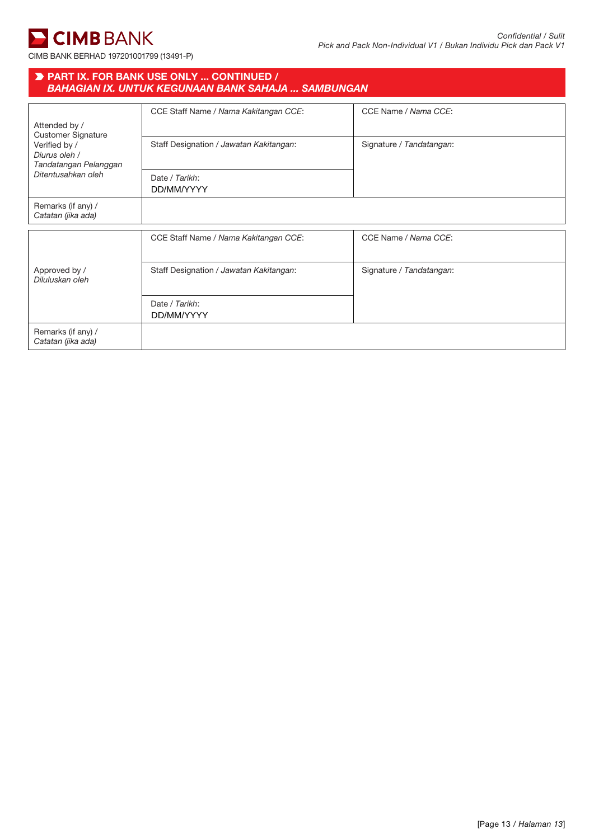

|                                                         | <b>D</b> PART IX. FOR BANK USE ONLY  CONTINUED /<br><b>BAHAGIAN IX. UNTUK KEGUNAAN BANK SAHAJA  SAMBUNGAN</b> |                          |
|---------------------------------------------------------|---------------------------------------------------------------------------------------------------------------|--------------------------|
| Attended by /<br><b>Customer Signature</b>              | CCE Staff Name / Nama Kakitangan CCE:                                                                         | CCE Name / Nama CCE:     |
| Verified by /<br>Diurus oleh /<br>Tandatangan Pelanggan | Staff Designation / Jawatan Kakitangan:                                                                       | Signature / Tandatangan: |
| Ditentusahkan oleh                                      | Date / Tarikh:<br>DD/MM/YYYY                                                                                  |                          |
| Remarks (if any) /<br>Catatan (jika ada)                |                                                                                                               |                          |
|                                                         | CCE Staff Name / Nama Kakitangan CCE:                                                                         | CCE Name / Nama CCE:     |
| Approved by /<br>Diluluskan oleh                        | Staff Designation / Jawatan Kakitangan:                                                                       | Signature / Tandatangan: |
|                                                         | Date / Tarikh:<br>DD/MM/YYYY                                                                                  |                          |
| Remarks (if any) /<br>Catatan (jika ada)                |                                                                                                               |                          |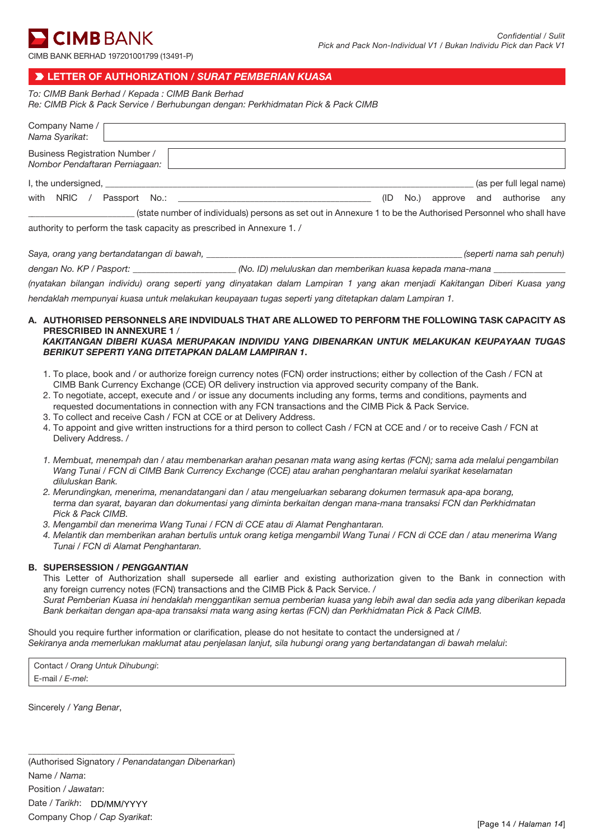CIMB BANK BERHAD 197201001799 (13491-P)

# LETTER OF AUTHORIZATION / *SURAT PEMBERIAN KUASA*

*To: CIMB Bank Berhad / Kepada : CIMB Bank Berhad*

*Re: CIMB Pick & Pack Service / Berhubungan dengan: Perkhidmatan Pick & Pack CIMB*

| Company Name /<br>Nama Syarikat:                                                                                                                                                                                                                |      |      |  |                           |  |
|-------------------------------------------------------------------------------------------------------------------------------------------------------------------------------------------------------------------------------------------------|------|------|--|---------------------------|--|
| <b>Business Registration Number /</b><br>Nombor Pendaftaran Perniagaan:                                                                                                                                                                         |      |      |  |                           |  |
|                                                                                                                                                                                                                                                 |      |      |  | (as per full legal name)  |  |
| with<br>NRIC /<br>Passport No.: The contract of the contract of the contract of the contract of the contract of the contract of the contract of the contract of the contract of the contract of the contract of the contract of the contract of | (ID) | No.) |  | approve and authorise any |  |
| (state number of individuals) persons as set out in Annexure 1 to be the Authorised Personnel who shall have                                                                                                                                    |      |      |  |                           |  |
| outhority to perform the took consoity as preseribed in Annovuse 1                                                                                                                                                                              |      |      |  |                           |  |

authority to perform the task capacity as prescribed in Annexure 1. /

| (seperti nama sah penuh)<br>Saya, orang yang bertandatangan di bawah, |
|-----------------------------------------------------------------------|
|-----------------------------------------------------------------------|

| dengan No. KP / Pasport:<br>(No. ID) meluluskan dan memberikan kuasa kepada mana-mana |
|---------------------------------------------------------------------------------------|
|---------------------------------------------------------------------------------------|

*(nyatakan bilangan individu) orang seperti yang dinyatakan dalam Lampiran 1 yang akan menjadi Kakitangan Diberi Kuasa yang hendaklah mempunyai kuasa untuk melakukan keupayaan tugas seperti yang ditetapkan dalam Lampiran 1.* 

#### A. AUTHORISED PERSONNELS ARE INDVIDUALS THAT ARE ALLOWED TO PERFORM THE FOLLOWING TASK CAPACITY AS PRESCRIBED IN ANNEXURE 1 / *KAKITANGAN DIBERI KUASA MERUPAKAN INDIVIDU YANG DIBENARKAN UNTUK MELAKUKAN KEUPAYAAN TUGAS*

- *BERIKUT SEPERTI YANG DITETAPKAN DALAM LAMPIRAN 1*.
- 1. To place, book and / or authorize foreign currency notes (FCN) order instructions; either by collection of the Cash / FCN at CIMB Bank Currency Exchange (CCE) OR delivery instruction via approved security company of the Bank.
- 2. To negotiate, accept, execute and / or issue any documents including any forms, terms and conditions, payments and requested documentations in connection with any FCN transactions and the CIMB Pick & Pack Service.
- 3. To collect and receive Cash / FCN at CCE or at Delivery Address.
- 4. To appoint and give written instructions for a third person to collect Cash / FCN at CCE and / or to receive Cash / FCN at Delivery Address. /
- *1. Membuat, menempah dan / atau membenarkan arahan pesanan mata wang asing kertas (FCN); sama ada melalui pengambilan Wang Tunai / FCN di CIMB Bank Currency Exchange (CCE) atau arahan penghantaran melalui syarikat keselamatan diluluskan Bank.*
- *2. Merundingkan, menerima, menandatangani dan / atau mengeluarkan sebarang dokumen termasuk apa-apa borang, terma dan syarat, bayaran dan dokumentasi yang diminta berkaitan dengan mana-mana transaksi FCN dan Perkhidmatan Pick & Pack CIMB.*
- *3. Mengambil dan menerima Wang Tunai / FCN di CCE atau di Alamat Penghantaran.*
- *4. Melantik dan memberikan arahan bertulis untuk orang ketiga mengambil Wang Tunai / FCN di CCE dan / atau menerima Wang Tunai / FCN di Alamat Penghantaran.*

### B. SUPERSESSION / *PENGGANTIAN*

This Letter of Authorization shall supersede all earlier and existing authorization given to the Bank in connection with any foreign currency notes (FCN) transactions and the CIMB Pick & Pack Service. /

*Surat Pemberian Kuasa ini hendaklah menggantikan semua pemberian kuasa yang lebih awal dan sedia ada yang diberikan kepada Bank berkaitan dengan apa-apa transaksi mata wang asing kertas (FCN) dan Perkhidmatan Pick & Pack CIMB.*

Should you require further information or clarification, please do not hesitate to contact the undersigned at / *Sekiranya anda memerlukan maklumat atau penjelasan lanjut, sila hubungi orang yang bertandatangan di bawah melalui*:

Contact / *Orang Untuk Dihubungi*: E-mail / *E-mel*:

Sincerely / *Yang Benar*,

\_\_\_\_\_\_\_\_\_\_\_\_\_\_\_\_\_\_\_\_\_\_\_\_\_\_\_\_\_\_\_\_\_\_\_\_\_\_\_\_\_\_\_\_\_\_ (Authorised Signatory / *Penandatangan Dibenarkan*) Name / *Nama*: Position / *Jawatan*: Date / *Tarikh*: DD/MM/YYYYCompany Chop / *Cap Syarikat*: